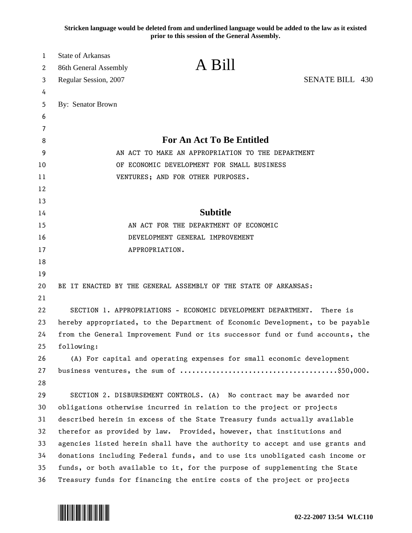**Stricken language would be deleted from and underlined language would be added to the law as it existed prior to this session of the General Assembly.**

| 1      | <b>State of Arkansas</b> | A Bill                                                                        |                        |  |
|--------|--------------------------|-------------------------------------------------------------------------------|------------------------|--|
| 2      | 86th General Assembly    |                                                                               |                        |  |
| 3      | Regular Session, 2007    |                                                                               | <b>SENATE BILL 430</b> |  |
| 4      |                          |                                                                               |                        |  |
| 5<br>6 | By: Senator Brown        |                                                                               |                        |  |
| 7      |                          |                                                                               |                        |  |
| 8      |                          | For An Act To Be Entitled                                                     |                        |  |
| 9      |                          | AN ACT TO MAKE AN APPROPRIATION TO THE DEPARTMENT                             |                        |  |
| 10     |                          | OF ECONOMIC DEVELOPMENT FOR SMALL BUSINESS                                    |                        |  |
| 11     |                          | VENTURES; AND FOR OTHER PURPOSES.                                             |                        |  |
| 12     |                          |                                                                               |                        |  |
| 13     |                          |                                                                               |                        |  |
| 14     |                          | <b>Subtitle</b>                                                               |                        |  |
| 15     |                          | AN ACT FOR THE DEPARTMENT OF ECONOMIC                                         |                        |  |
| 16     |                          | DEVELOPMENT GENERAL IMPROVEMENT                                               |                        |  |
| 17     |                          | APPROPRIATION.                                                                |                        |  |
| 18     |                          |                                                                               |                        |  |
| 19     |                          |                                                                               |                        |  |
| 20     |                          | BE IT ENACTED BY THE GENERAL ASSEMBLY OF THE STATE OF ARKANSAS:               |                        |  |
| 21     |                          |                                                                               |                        |  |
| 22     |                          | SECTION 1. APPROPRIATIONS - ECONOMIC DEVELOPMENT DEPARTMENT.                  | There is               |  |
| 23     |                          | hereby appropriated, to the Department of Economic Development, to be payable |                        |  |
| 24     |                          | from the General Improvement Fund or its successor fund or fund accounts, the |                        |  |
| 25     | following:               |                                                                               |                        |  |
| 26     |                          | (A) For capital and operating expenses for small economic development         |                        |  |
| 27     |                          |                                                                               |                        |  |
| 28     |                          |                                                                               |                        |  |
| 29     |                          | SECTION 2. DISBURSEMENT CONTROLS. (A) No contract may be awarded nor          |                        |  |
| 30     |                          | obligations otherwise incurred in relation to the project or projects         |                        |  |
| 31     |                          | described herein in excess of the State Treasury funds actually available     |                        |  |
| 32     |                          | therefor as provided by law. Provided, however, that institutions and         |                        |  |
| 33     |                          | agencies listed herein shall have the authority to accept and use grants and  |                        |  |
| 34     |                          | donations including Federal funds, and to use its unobligated cash income or  |                        |  |
| 35     |                          | funds, or both available to it, for the purpose of supplementing the State    |                        |  |
| 36     |                          | Treasury funds for financing the entire costs of the project or projects      |                        |  |